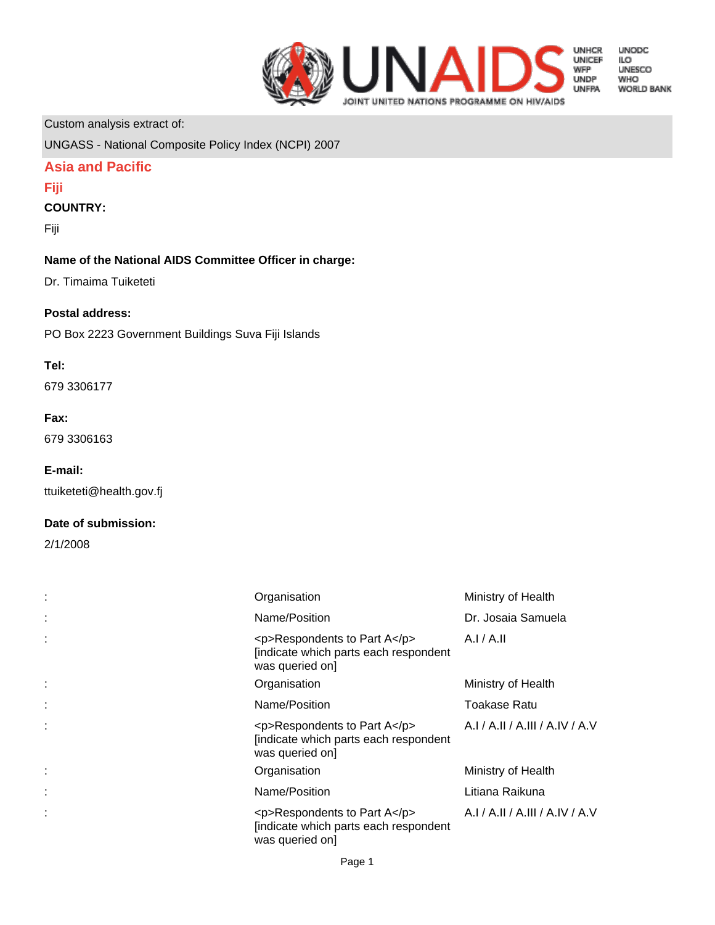

**UNODC** UNUDC<br>ILO<br>UNESCO **WHO WORLD BANK** 

Custom analysis extract of:

UNGASS - National Composite Policy Index (NCPI) 2007

# **Asia and Pacific**

### **Fiji**

## **COUNTRY:**

Fiji

# **Name of the National AIDS Committee Officer in charge:**

Dr. Timaima Tuiketeti

### **Postal address:**

PO Box 2223 Government Buildings Suva Fiji Islands

### **Tel:**

679 3306177

#### **Fax:**

679 3306163

### **E-mail:**

ttuiketeti@health.gov.fj

### **Date of submission:**

2/1/2008

| Organisation                                                                             | Ministry of Health              |
|------------------------------------------------------------------------------------------|---------------------------------|
| Name/Position                                                                            | Dr. Josaia Samuela              |
| <p>Respondents to Part A</p><br>[indicate which parts each respondent<br>was queried on] | A.I/A.II                        |
| Organisation                                                                             | Ministry of Health              |
| Name/Position                                                                            | Toakase Ratu                    |
| <p>Respondents to Part A</p><br>[indicate which parts each respondent<br>was queried on] | A.I / A.II / A.III / A.IV / A.V |
| Organisation                                                                             | Ministry of Health              |
| Name/Position                                                                            | Litiana Raikuna                 |
| <p>Respondents to Part A</p><br>[indicate which parts each respondent<br>was queried on] | A.I / A.II / A.III / A.IV / A.V |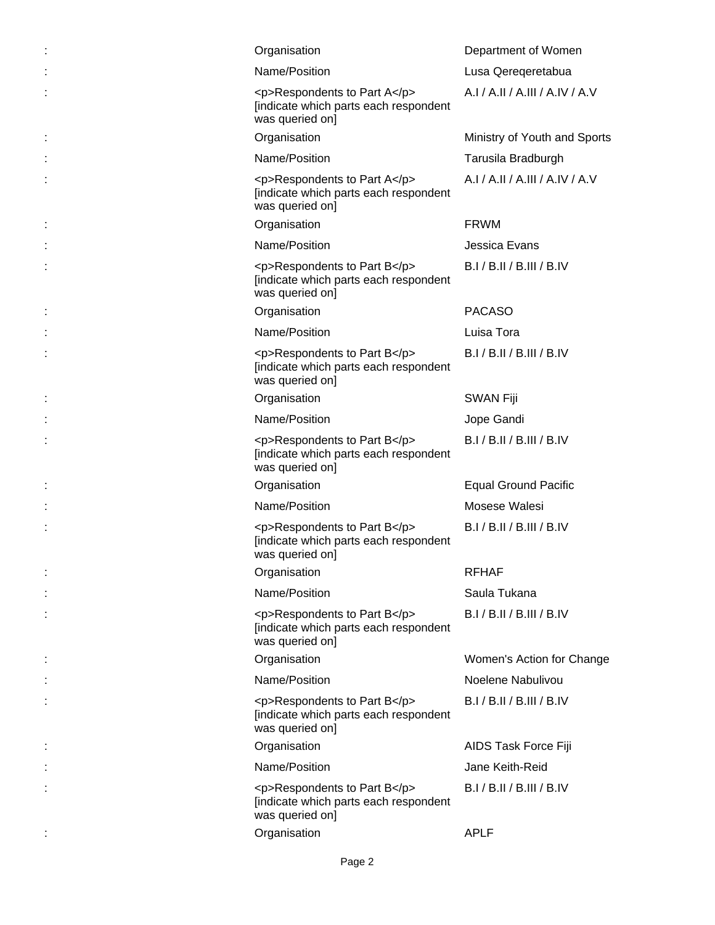|   | Organisation                                                                             | Department of Women             |
|---|------------------------------------------------------------------------------------------|---------------------------------|
|   | Name/Position                                                                            | Lusa Qereqeretabua              |
|   | <p>Respondents to Part A</p><br>[indicate which parts each respondent<br>was queried on] | A.I / A.II / A.III / A.IV / A.V |
| ÷ | Organisation                                                                             | Ministry of Youth and Sports    |
|   | Name/Position                                                                            | Tarusila Bradburgh              |
|   | <p>Respondents to Part A</p><br>[indicate which parts each respondent<br>was queried on] | A.I / A.II / A.III / A.IV / A.V |
| t | Organisation                                                                             | <b>FRWM</b>                     |
|   | Name/Position                                                                            | Jessica Evans                   |
|   | <p>Respondents to Part B</p><br>[indicate which parts each respondent<br>was queried on] | B.I / B.II / B.III / B.IV       |
| ÷ | Organisation                                                                             | <b>PACASO</b>                   |
|   | Name/Position                                                                            | Luisa Tora                      |
|   | <p>Respondents to Part B</p><br>[indicate which parts each respondent<br>was queried on] | B.I / B.II / B.III / B.IV       |
| : | Organisation                                                                             | <b>SWAN Fiji</b>                |
|   | Name/Position                                                                            | Jope Gandi                      |
|   | <p>Respondents to Part B</p><br>[indicate which parts each respondent<br>was queried on] | B.I / B.II / B.III / B.IV       |
|   | Organisation                                                                             | <b>Equal Ground Pacific</b>     |
|   | Name/Position                                                                            | Mosese Walesi                   |
|   | <p>Respondents to Part B</p><br>[indicate which parts each respondent<br>was queried on] | B.I / B.II / B.III / B.IV       |
|   | Organisation                                                                             | <b>RFHAF</b>                    |
|   | Name/Position                                                                            | Saula Tukana                    |
|   | <p>Respondents to Part B</p><br>[indicate which parts each respondent<br>was queried on] | B.I/B.II/B.III/B.IV             |
|   | Organisation                                                                             | Women's Action for Change       |
|   | Name/Position                                                                            | Noelene Nabulivou               |
|   | <p>Respondents to Part B</p><br>[indicate which parts each respondent<br>was queried on] | B.I / B.II / B.III / B.IV       |
| ÷ | Organisation                                                                             | AIDS Task Force Fiji            |
|   | Name/Position                                                                            | Jane Keith-Reid                 |
|   | <p>Respondents to Part B</p><br>[indicate which parts each respondent<br>was queried on] | B.I / B.II / B.III / B.IV       |
|   | Organisation                                                                             | <b>APLF</b>                     |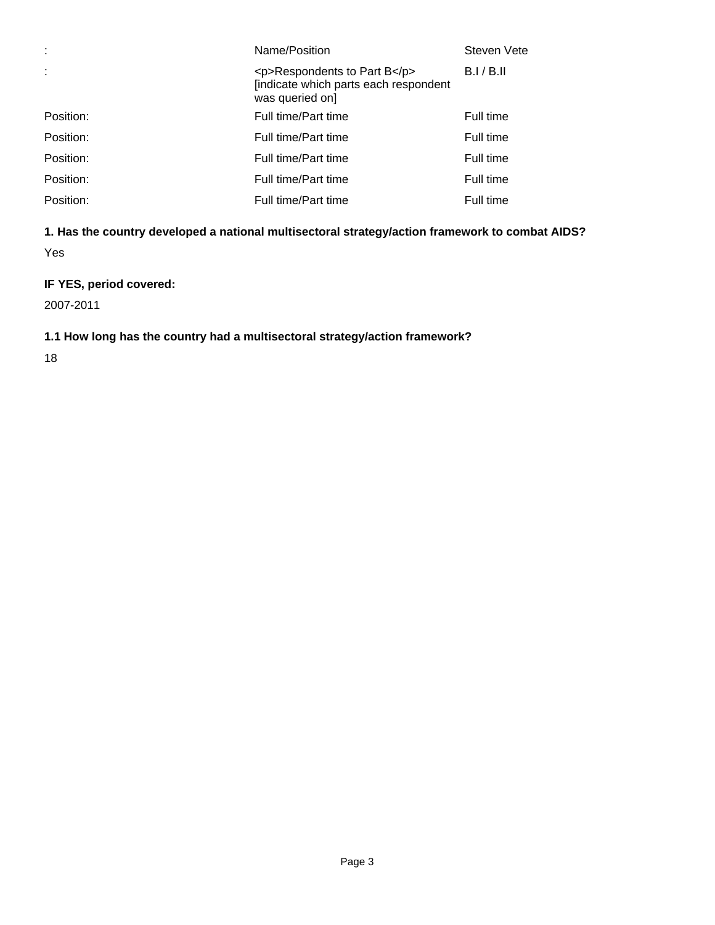| ÷         | Name/Position                                                                            | Steven Vete |
|-----------|------------------------------------------------------------------------------------------|-------------|
| ÷         | <p>Respondents to Part B</p><br>[indicate which parts each respondent<br>was queried on] | B.I/B.II    |
| Position: | Full time/Part time                                                                      | Full time   |
| Position: | Full time/Part time                                                                      | Full time   |
| Position: | Full time/Part time                                                                      | Full time   |
| Position: | Full time/Part time                                                                      | Full time   |
| Position: | Full time/Part time                                                                      | Full time   |

# **1. Has the country developed a national multisectoral strategy/action framework to combat AIDS?**

Yes

# **IF YES, period covered:**

2007-2011

# **1.1 How long has the country had a multisectoral strategy/action framework?**

18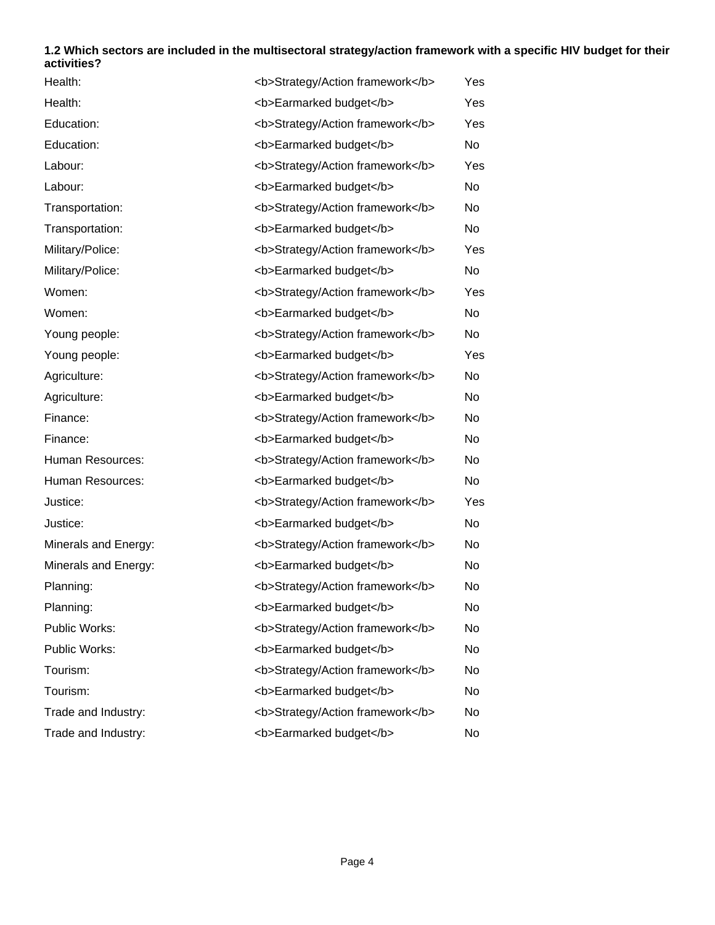### **1.2 Which sectors are included in the multisectoral strategy/action framework with a specific HIV budget for their activities?**

| Health:              | <b>Strategy/Action framework</b> | Yes       |
|----------------------|----------------------------------|-----------|
| Health:              | <b>Earmarked budget</b>          | Yes       |
| Education:           | <b>Strategy/Action framework</b> | Yes       |
| Education:           | <b>Earmarked budget</b>          | No        |
| Labour:              | <b>Strategy/Action framework</b> | Yes       |
| Labour:              | <b>Earmarked budget</b>          | <b>No</b> |
| Transportation:      | <b>Strategy/Action framework</b> | No        |
| Transportation:      | <b>Earmarked budget</b>          | No        |
| Military/Police:     | <b>Strategy/Action framework</b> | Yes       |
| Military/Police:     | <b>Earmarked budget</b>          | No        |
| Women:               | <b>Strategy/Action framework</b> | Yes       |
| Women:               | <b>Earmarked budget</b>          | <b>No</b> |
| Young people:        | <b>Strategy/Action framework</b> | No        |
| Young people:        | <b>Earmarked budget</b>          | Yes       |
| Agriculture:         | <b>Strategy/Action framework</b> | No        |
| Agriculture:         | <b>Earmarked budget</b>          | <b>No</b> |
| Finance:             | <b>Strategy/Action framework</b> | No        |
| Finance:             | <b>Earmarked budget</b>          | <b>No</b> |
| Human Resources:     | <b>Strategy/Action framework</b> | No        |
| Human Resources:     | <b>Earmarked budget</b>          | No        |
| Justice:             | <b>Strategy/Action framework</b> | Yes       |
| Justice:             | <b>Earmarked budget</b>          | <b>No</b> |
| Minerals and Energy: | <b>Strategy/Action framework</b> | No        |
| Minerals and Energy: | <b>Earmarked budget</b>          | <b>No</b> |
| Planning:            | <b>Strategy/Action framework</b> | No        |
| Planning:            | <b>Earmarked budget</b>          | No        |
| Public Works:        | <b>Strategy/Action framework</b> | No        |
| Public Works:        | <b>Earmarked budget</b>          | No        |
| Tourism:             | <b>Strategy/Action framework</b> | No        |
| Tourism:             | <b>Earmarked budget</b>          | No        |
| Trade and Industry:  | <b>Strategy/Action framework</b> | No        |
| Trade and Industry:  | <b>Earmarked budget</b>          | No        |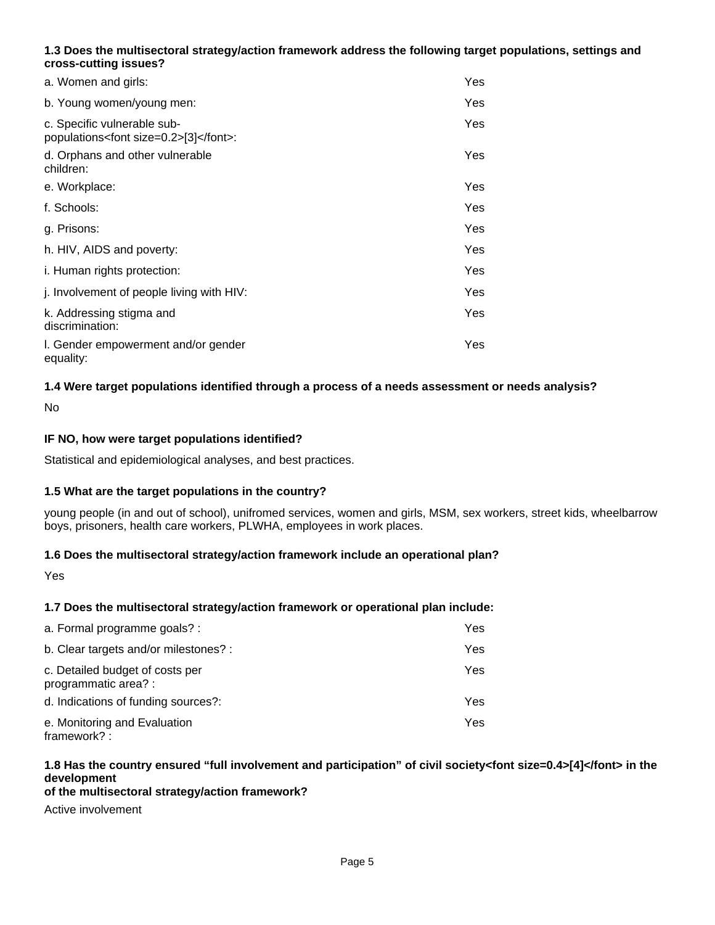## **1.3 Does the multisectoral strategy/action framework address the following target populations, settings and cross-cutting issues?**

| a. Women and girls:                                                      | Yes |
|--------------------------------------------------------------------------|-----|
| b. Young women/young men:                                                | Yes |
| c. Specific vulnerable sub-<br>populations <font size="0.2">[3]</font> : | Yes |
| d. Orphans and other vulnerable<br>children:                             | Yes |
| e. Workplace:                                                            | Yes |
| f. Schools:                                                              | Yes |
| g. Prisons:                                                              | Yes |
| h. HIV, AIDS and poverty:                                                | Yes |
| <i>i.</i> Human rights protection:                                       | Yes |
| j. Involvement of people living with HIV:                                | Yes |
| k. Addressing stigma and<br>discrimination:                              | Yes |
| I. Gender empowerment and/or gender<br>equality:                         | Yes |

## **1.4 Were target populations identified through a process of a needs assessment or needs analysis?**

No

### **IF NO, how were target populations identified?**

Statistical and epidemiological analyses, and best practices.

#### **1.5 What are the target populations in the country?**

young people (in and out of school), unifromed services, women and girls, MSM, sex workers, street kids, wheelbarrow boys, prisoners, health care workers, PLWHA, employees in work places.

#### **1.6 Does the multisectoral strategy/action framework include an operational plan?**

Yes

### **1.7 Does the multisectoral strategy/action framework or operational plan include:**

| a. Formal programme goals? :                            | Yes. |
|---------------------------------------------------------|------|
| b. Clear targets and/or milestones? :                   | Yes. |
| c. Detailed budget of costs per<br>programmatic area? : | Yes. |
| d. Indications of funding sources?:                     | Yes. |
| e. Monitoring and Evaluation<br>framework?:             | Yes. |

# **1.8 Has the country ensured "full involvement and participation" of civil society<font size=0.4>[4]</font> in the development**

#### **of the multisectoral strategy/action framework?**

Active involvement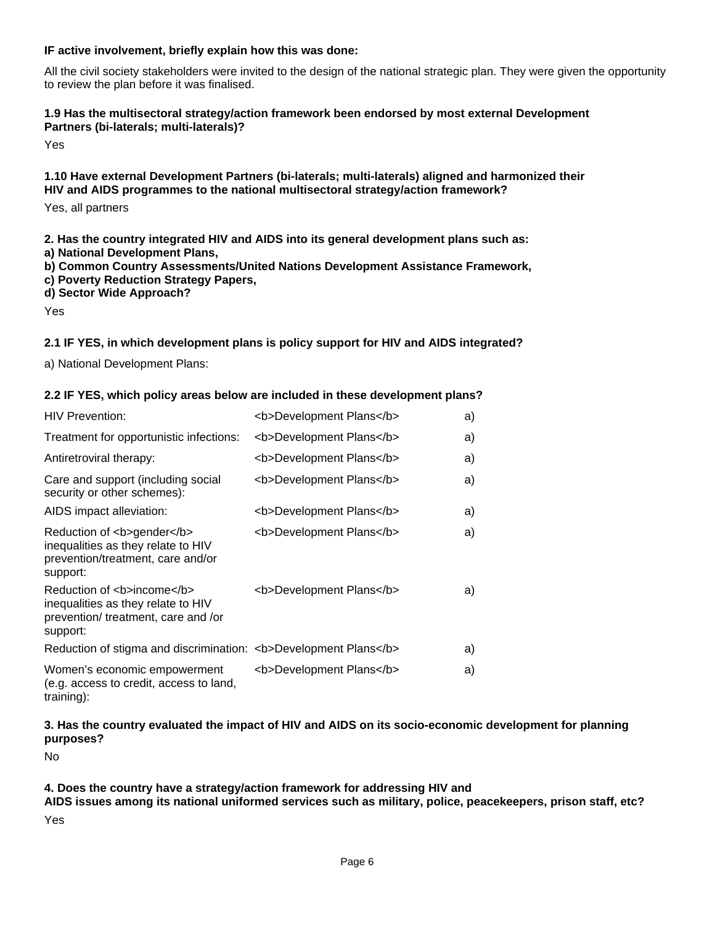#### **IF active involvement, briefly explain how this was done:**

All the civil society stakeholders were invited to the design of the national strategic plan. They were given the opportunity to review the plan before it was finalised.

#### **1.9 Has the multisectoral strategy/action framework been endorsed by most external Development Partners (bi-laterals; multi-laterals)?**

Yes

#### **1.10 Have external Development Partners (bi-laterals; multi-laterals) aligned and harmonized their HIV and AIDS programmes to the national multisectoral strategy/action framework?**

Yes, all partners

**2. Has the country integrated HIV and AIDS into its general development plans such as:** 

- **a) National Development Plans,**
- **b) Common Country Assessments/United Nations Development Assistance Framework,**
- **c) Poverty Reduction Strategy Papers,**
- **d) Sector Wide Approach?**

Yes

### **2.1 IF YES, in which development plans is policy support for HIV and AIDS integrated?**

a) National Development Plans:

#### **2.2 IF YES, which policy areas below are included in these development plans?**

| <b>HIV Prevention:</b>                                                                                             | <b>Development Plans</b> | a) |
|--------------------------------------------------------------------------------------------------------------------|--------------------------|----|
| Treatment for opportunistic infections:                                                                            | <b>Development Plans</b> | a) |
| Antiretroviral therapy:                                                                                            | <b>Development Plans</b> | a) |
| Care and support (including social<br>security or other schemes):                                                  | <b>Development Plans</b> | a) |
| AIDS impact alleviation:                                                                                           | <b>Development Plans</b> | a) |
| Reduction of <b>gender</b><br>inequalities as they relate to HIV<br>prevention/treatment, care and/or<br>support:  | <b>Development Plans</b> | a) |
| Reduction of <b>income</b><br>inequalities as they relate to HIV<br>prevention/treatment, care and /or<br>support: | <b>Development Plans</b> | a) |
| Reduction of stigma and discrimination: <b>Development Plans</b>                                                   |                          | a) |
| Women's economic empowerment<br>(e.g. access to credit, access to land,                                            | <b>Development Plans</b> | a) |

training):

## **3. Has the country evaluated the impact of HIV and AIDS on its socio-economic development for planning purposes?**

No

#### **4. Does the country have a strategy/action framework for addressing HIV and**

**AIDS issues among its national uniformed services such as military, police, peacekeepers, prison staff, etc?** Yes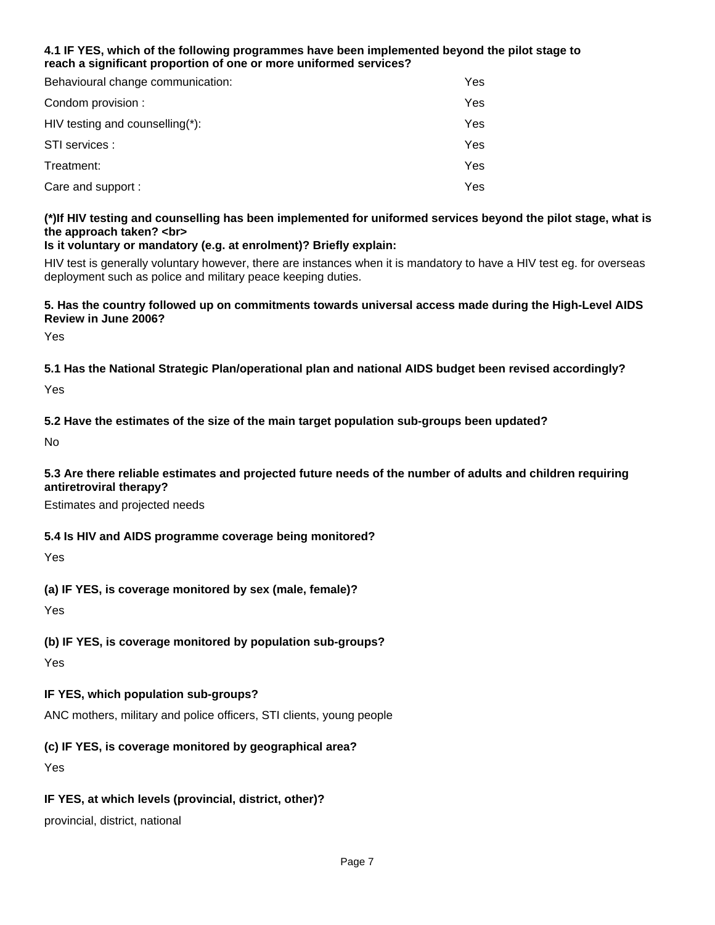### **4.1 IF YES, which of the following programmes have been implemented beyond the pilot stage to reach a significant proportion of one or more uniformed services?**

| Behavioural change communication:   | Yes |
|-------------------------------------|-----|
| Condom provision :                  | Yes |
| HIV testing and counselling $(*)$ : | Yes |
| STI services :                      | Yes |
| Treatment:                          | Yes |
| Care and support :                  | Yes |

# **(\*)If HIV testing and counselling has been implemented for uniformed services beyond the pilot stage, what is the approach taken? <br>**

## **Is it voluntary or mandatory (e.g. at enrolment)? Briefly explain:**

HIV test is generally voluntary however, there are instances when it is mandatory to have a HIV test eg. for overseas deployment such as police and military peace keeping duties.

#### **5. Has the country followed up on commitments towards universal access made during the High-Level AIDS Review in June 2006?**

Yes

**5.1 Has the National Strategic Plan/operational plan and national AIDS budget been revised accordingly?**

Yes

# **5.2 Have the estimates of the size of the main target population sub-groups been updated?**

No

### **5.3 Are there reliable estimates and projected future needs of the number of adults and children requiring antiretroviral therapy?**

Estimates and projected needs

# **5.4 Is HIV and AIDS programme coverage being monitored?**

Yes

# **(a) IF YES, is coverage monitored by sex (male, female)?**

Yes

# **(b) IF YES, is coverage monitored by population sub-groups?**

Yes

# **IF YES, which population sub-groups?**

ANC mothers, military and police officers, STI clients, young people

# **(c) IF YES, is coverage monitored by geographical area?**

Yes

# **IF YES, at which levels (provincial, district, other)?**

provincial, district, national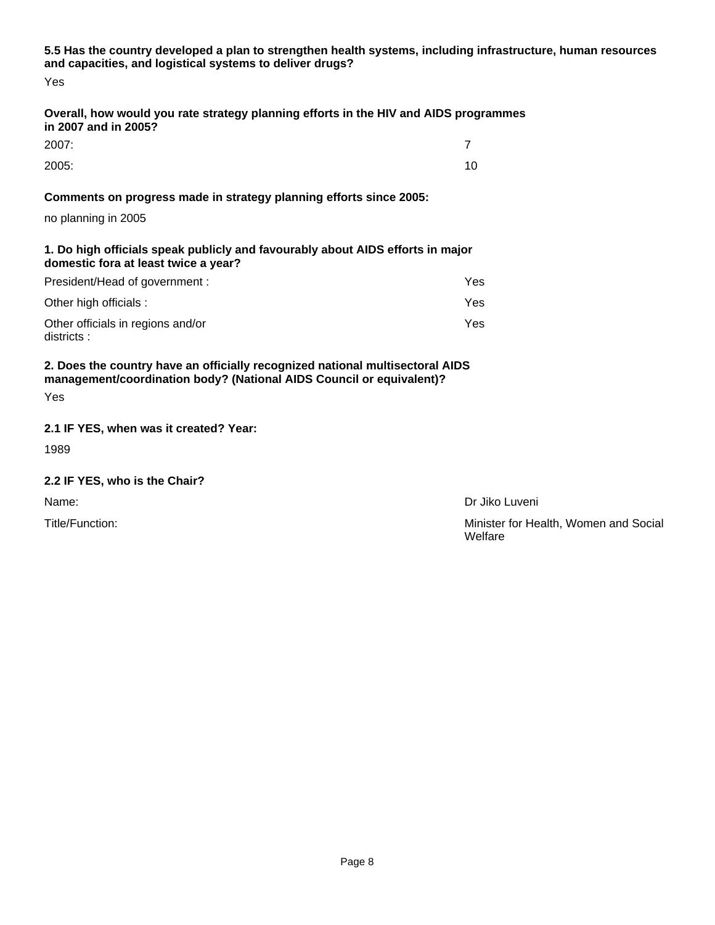**5.5 Has the country developed a plan to strengthen health systems, including infrastructure, human resources and capacities, and logistical systems to deliver drugs?**

Yes

### **Overall, how would you rate strategy planning efforts in the HIV and AIDS programmes in 2007 and in 2005?**

| 2007: |    |
|-------|----|
| 2005: | 10 |

## **Comments on progress made in strategy planning efforts since 2005:**

no planning in 2005

**1. Do high officials speak publicly and favourably about AIDS efforts in major domestic fora at least twice a year?**

| President/Head of government :                   | Yes. |
|--------------------------------------------------|------|
| Other high officials :                           | Yes. |
| Other officials in regions and/or<br>districts : | Yes. |

**2. Does the country have an officially recognized national multisectoral AIDS management/coordination body? (National AIDS Council or equivalent)?** Yes

## **2.1 IF YES, when was it created? Year:**

1989

### **2.2 IF YES, who is the Chair?**

Name: Dr Jiko Luveni

Title/Function: Minister for Health, Women and Social Welfare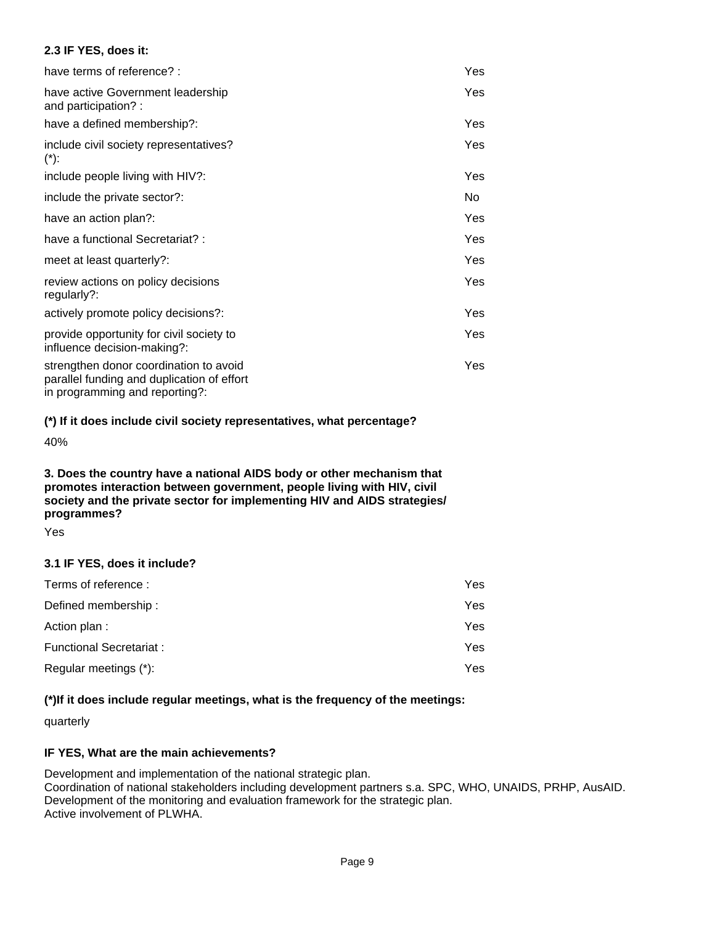### **2.3 IF YES, does it:**

| have terms of reference? :                                                                                             | Yes        |
|------------------------------------------------------------------------------------------------------------------------|------------|
| have active Government leadership<br>and participation? :                                                              | <b>Yes</b> |
| have a defined membership?:                                                                                            | Yes        |
| include civil society representatives?<br>$(*)$ :                                                                      | Yes        |
| include people living with HIV?:                                                                                       | Yes        |
| include the private sector?:                                                                                           | No.        |
| have an action plan?:                                                                                                  | Yes        |
| have a functional Secretariat?:                                                                                        | Yes.       |
| meet at least quarterly?:                                                                                              | Yes        |
| review actions on policy decisions<br>regularly?:                                                                      | Yes        |
| actively promote policy decisions?:                                                                                    | Yes        |
| provide opportunity for civil society to<br>influence decision-making?:                                                | Yes        |
| strengthen donor coordination to avoid<br>parallel funding and duplication of effort<br>in programming and reporting?: | Yes        |

### **(\*) If it does include civil society representatives, what percentage?**

40%

#### **3. Does the country have a national AIDS body or other mechanism that promotes interaction between government, people living with HIV, civil society and the private sector for implementing HIV and AIDS strategies/ programmes?**

Yes

### **3.1 IF YES, does it include?**

| Terms of reference :           | Yes. |
|--------------------------------|------|
| Defined membership:            | Yes. |
| Action plan:                   | Yes. |
| <b>Functional Secretariat:</b> | Yes. |
| Regular meetings (*):          | Yes. |

### **(\*)If it does include regular meetings, what is the frequency of the meetings:**

quarterly

### **IF YES, What are the main achievements?**

Development and implementation of the national strategic plan. Coordination of national stakeholders including development partners s.a. SPC, WHO, UNAIDS, PRHP, AusAID. Development of the monitoring and evaluation framework for the strategic plan. Active involvement of PLWHA.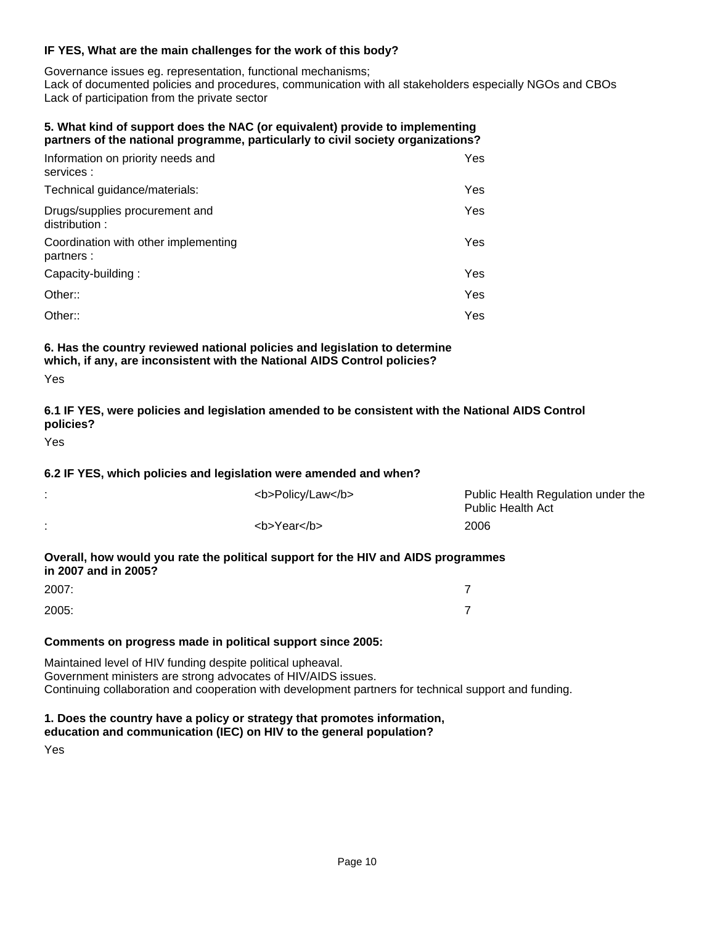#### **IF YES, What are the main challenges for the work of this body?**

Governance issues eg. representation, functional mechanisms;

Lack of documented policies and procedures, communication with all stakeholders especially NGOs and CBOs Lack of participation from the private sector

#### **5. What kind of support does the NAC (or equivalent) provide to implementing partners of the national programme, particularly to civil society organizations?**

| Information on priority needs and<br>services :    | Yes  |
|----------------------------------------------------|------|
| Technical guidance/materials:                      | Yes. |
| Drugs/supplies procurement and<br>distribution:    | Yes  |
| Coordination with other implementing<br>partners : | Yes. |
| Capacity-building:                                 | Yes. |
| Other::                                            | Yes  |
| Other::                                            | Yes  |

#### **6. Has the country reviewed national policies and legislation to determine which, if any, are inconsistent with the National AIDS Control policies?**

| ۰.<br>$-$ | $\sim$ |
|-----------|--------|
|           |        |

## **6.1 IF YES, were policies and legislation amended to be consistent with the National AIDS Control policies?**

Yes

### **6.2 IF YES, which policies and legislation were amended and when?**

|                      | <b>Policy/Law</b>                                                                 | Public Health Regulation under the<br><b>Public Health Act</b> |
|----------------------|-----------------------------------------------------------------------------------|----------------------------------------------------------------|
|                      | <b>Year</b>                                                                       | 2006                                                           |
| in 2007 and in 2005? | Overall, how would you rate the political support for the HIV and AIDS programmes |                                                                |
| $\sim$ $\sim$ $\sim$ |                                                                                   |                                                                |

| 2007: | $\overline{\phantom{a}}$ |
|-------|--------------------------|
| 2005: | $\overline{\phantom{0}}$ |

### **Comments on progress made in political support since 2005:**

Maintained level of HIV funding despite political upheaval. Government ministers are strong advocates of HIV/AIDS issues. Continuing collaboration and cooperation with development partners for technical support and funding.

# **1. Does the country have a policy or strategy that promotes information,**

# **education and communication (IEC) on HIV to the general population?**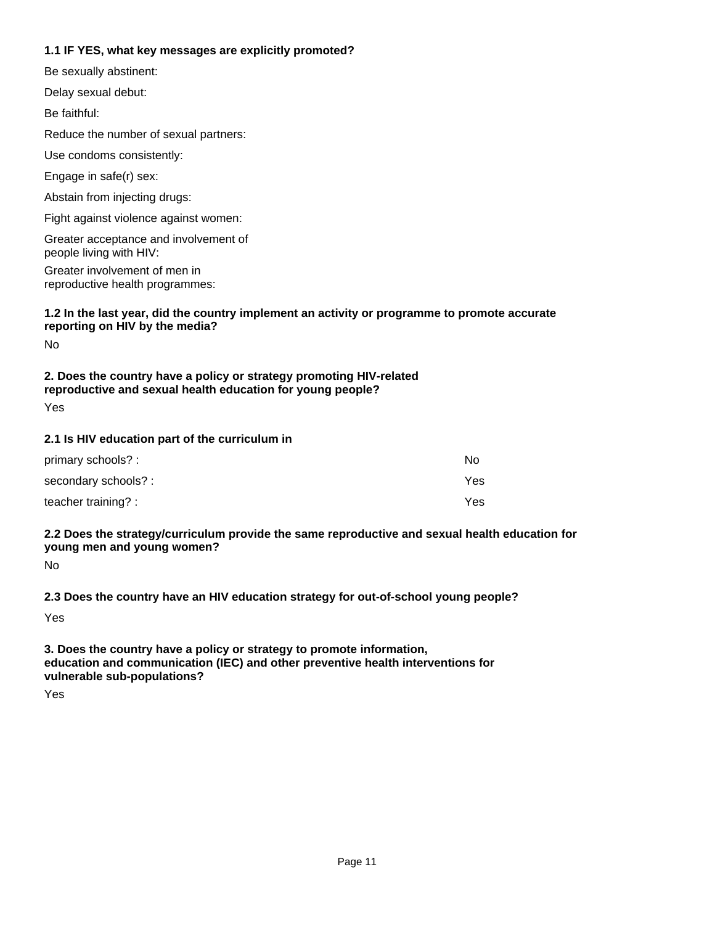### **1.1 IF YES, what key messages are explicitly promoted?**

| $1.1$ H $1.1$ $1.0$ , what $R_y$ inessayes are explicitly promoted:                                                               |
|-----------------------------------------------------------------------------------------------------------------------------------|
| Be sexually abstinent:                                                                                                            |
| Delay sexual debut:                                                                                                               |
| Be faithful:                                                                                                                      |
| Reduce the number of sexual partners:                                                                                             |
| Use condoms consistently:                                                                                                         |
| Engage in safe(r) sex:                                                                                                            |
| Abstain from injecting drugs:                                                                                                     |
| Fight against violence against women:                                                                                             |
| Greater acceptance and involvement of<br>people living with HIV:                                                                  |
| Greater involvement of men in<br>reproductive health programmes:                                                                  |
| 1.2 In the last year, did the country implement an activity or programme to promote accurate<br>reporting on HIV by the media?    |
| No                                                                                                                                |
| 2. Does the country have a policy or strategy promoting HIV-related<br>reproductive and sexual health education for young people? |

Yes

### **2.1 Is HIV education part of the curriculum in**

| primary schools? :  | No  |
|---------------------|-----|
| secondary schools?: | Yes |
| teacher training? : | Yes |

#### **2.2 Does the strategy/curriculum provide the same reproductive and sexual health education for young men and young women?**

No

**2.3 Does the country have an HIV education strategy for out-of-school young people?**

Yes

**3. Does the country have a policy or strategy to promote information, education and communication (IEC) and other preventive health interventions for vulnerable sub-populations?**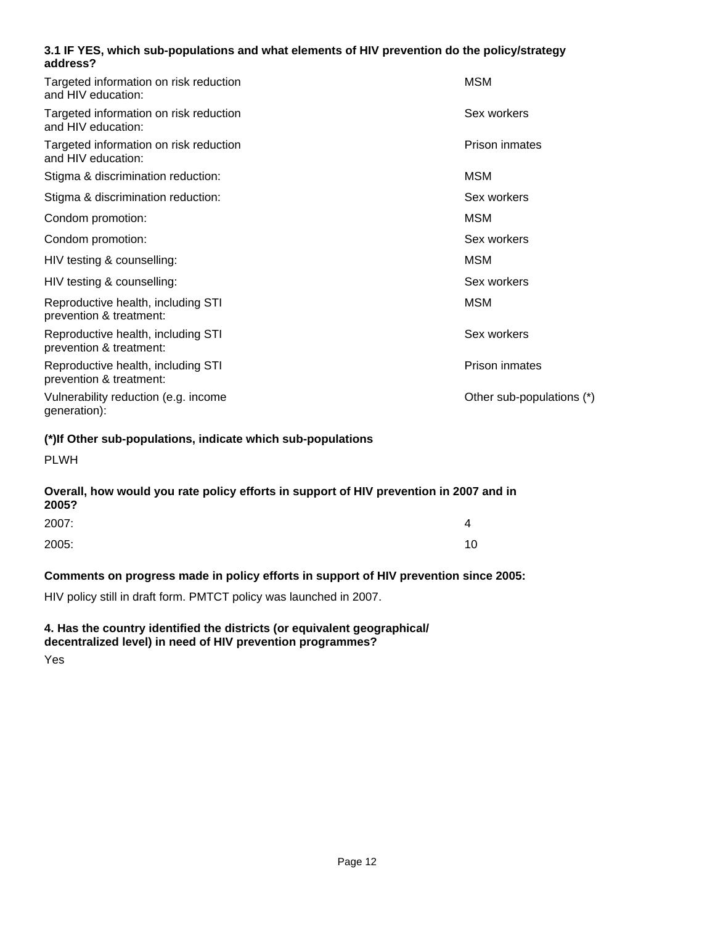### **3.1 IF YES, which sub-populations and what elements of HIV prevention do the policy/strategy address?**

| Targeted information on risk reduction<br>and HIV education:  | <b>MSM</b>                |
|---------------------------------------------------------------|---------------------------|
| Targeted information on risk reduction<br>and HIV education:  | Sex workers               |
| Targeted information on risk reduction<br>and HIV education:  | Prison inmates            |
| Stigma & discrimination reduction:                            | <b>MSM</b>                |
| Stigma & discrimination reduction:                            | Sex workers               |
| Condom promotion:                                             | <b>MSM</b>                |
| Condom promotion:                                             | Sex workers               |
| HIV testing & counselling:                                    | <b>MSM</b>                |
| HIV testing & counselling:                                    | Sex workers               |
| Reproductive health, including STI<br>prevention & treatment: | <b>MSM</b>                |
| Reproductive health, including STI<br>prevention & treatment: | Sex workers               |
| Reproductive health, including STI<br>prevention & treatment: | Prison inmates            |
| Vulnerability reduction (e.g. income<br>generation):          | Other sub-populations (*) |

#### **(\*)If Other sub-populations, indicate which sub-populations**

PLWH

#### **Overall, how would you rate policy efforts in support of HIV prevention in 2007 and in 2005?**

| 2007: | 4  |
|-------|----|
| 2005: | 10 |

### **Comments on progress made in policy efforts in support of HIV prevention since 2005:**

HIV policy still in draft form. PMTCT policy was launched in 2007.

#### **4. Has the country identified the districts (or equivalent geographical/ decentralized level) in need of HIV prevention programmes?**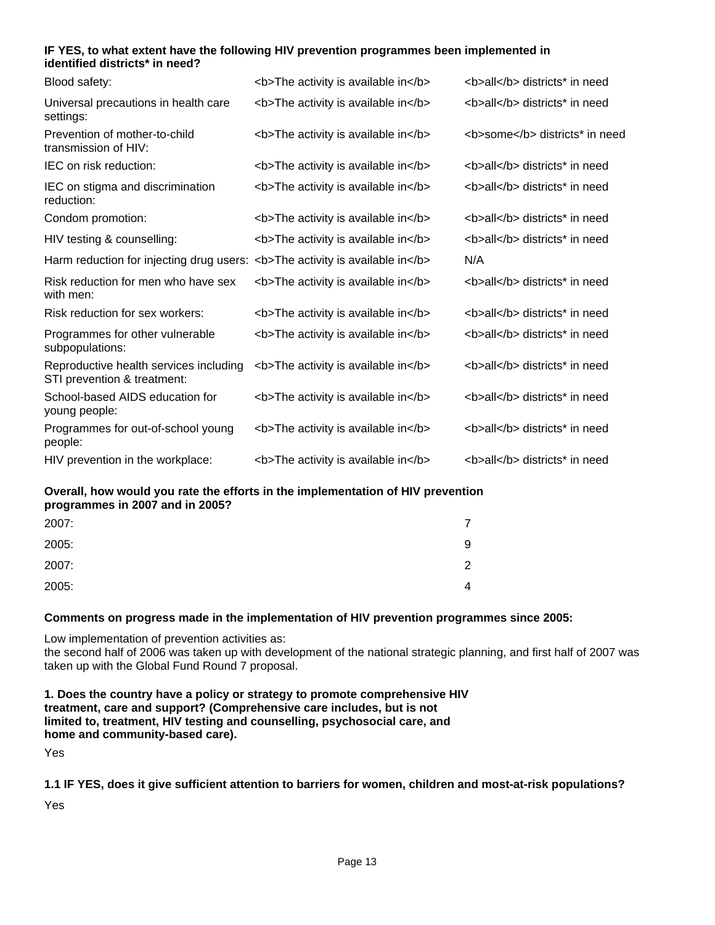#### **IF YES, to what extent have the following HIV prevention programmes been implemented in identified districts\* in need?**

| Blood safety:                                                                | <b>The activity is available in</b> | <b>all</b> districts* in need  |
|------------------------------------------------------------------------------|-------------------------------------|--------------------------------|
| Universal precautions in health care<br>settings:                            | <b>The activity is available in</b> | <b>all</b> districts* in need  |
| Prevention of mother-to-child<br>transmission of HIV:                        | <b>The activity is available in</b> | <b>some</b> districts* in need |
| IEC on risk reduction:                                                       | <b>The activity is available in</b> | <b>all</b> districts* in need  |
| IEC on stigma and discrimination<br>reduction:                               | <b>The activity is available in</b> | <b>all</b> districts* in need  |
| Condom promotion:                                                            | <b>The activity is available in</b> | <b>all</b> districts* in need  |
| HIV testing & counselling:                                                   | <b>The activity is available in</b> | <b>all</b> districts* in need  |
| Harm reduction for injecting drug users: <b>The activity is available in</b> |                                     | N/A                            |
| Risk reduction for men who have sex<br>with men:                             | <b>The activity is available in</b> | <b>all</b> districts* in need  |
| Risk reduction for sex workers:                                              | <b>The activity is available in</b> | <b>all</b> districts* in need  |
| Programmes for other vulnerable<br>subpopulations:                           | <b>The activity is available in</b> | <b>all</b> districts* in need  |
| Reproductive health services including<br>STI prevention & treatment:        | <b>The activity is available in</b> | <b>all</b> districts* in need  |
| School-based AIDS education for<br>young people:                             | <b>The activity is available in</b> | <b>all</b> districts* in need  |
| Programmes for out-of-school young<br>people:                                | <b>The activity is available in</b> | <b>all</b> districts* in need  |
| HIV prevention in the workplace:                                             | <b>The activity is available in</b> | <b>all</b> districts* in need  |

**Overall, how would you rate the efforts in the implementation of HIV prevention programmes in 2007 and in 2005?**

| 2007: |   |
|-------|---|
| 2005: | 9 |
| 2007: | ົ |
| 2005: | 4 |

### **Comments on progress made in the implementation of HIV prevention programmes since 2005:**

Low implementation of prevention activities as:

the second half of 2006 was taken up with development of the national strategic planning, and first half of 2007 was taken up with the Global Fund Round 7 proposal.

**1. Does the country have a policy or strategy to promote comprehensive HIV treatment, care and support? (Comprehensive care includes, but is not limited to, treatment, HIV testing and counselling, psychosocial care, and home and community-based care).**

Yes

**1.1 IF YES, does it give sufficient attention to barriers for women, children and most-at-risk populations?**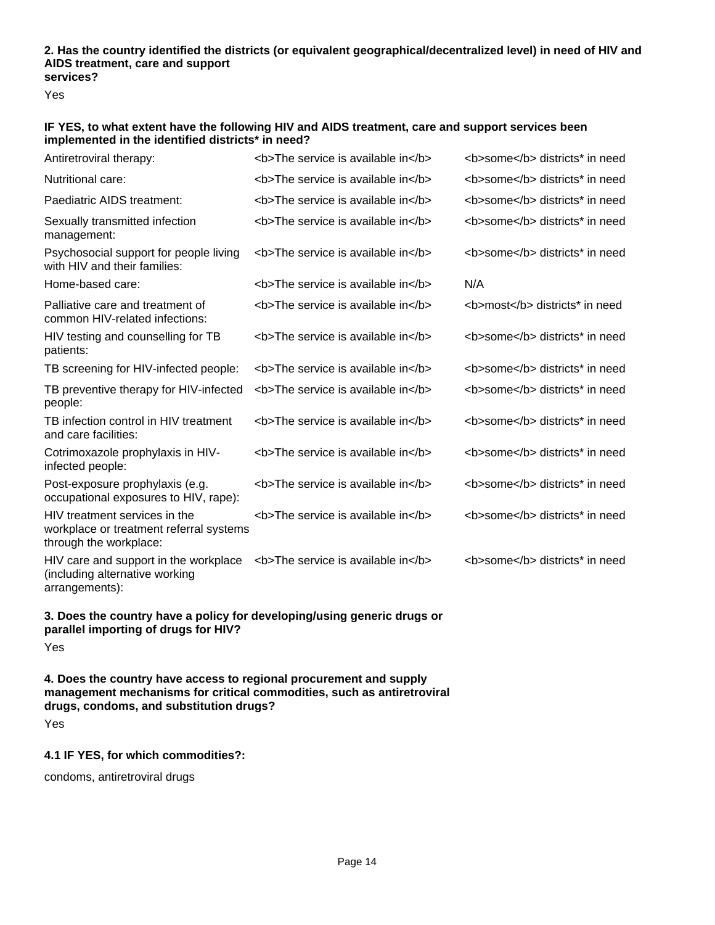#### **2. Has the country identified the districts (or equivalent geographical/decentralized level) in need of HIV and AIDS treatment, care and support services?**

Yes

#### **IF YES, to what extent have the following HIV and AIDS treatment, care and support services been implemented in the identified districts\* in need?**

| Antiretroviral therapy:                                                                                         | <b>The service is available in</b> | <b>some</b> districts* in need |
|-----------------------------------------------------------------------------------------------------------------|------------------------------------|--------------------------------|
| Nutritional care:                                                                                               | <b>The service is available in</b> | <b>some</b> districts* in need |
| Paediatric AIDS treatment:                                                                                      | <b>The service is available in</b> | <b>some</b> districts* in need |
| Sexually transmitted infection<br>management:                                                                   | <b>The service is available in</b> | <b>some</b> districts* in need |
| Psychosocial support for people living<br>with HIV and their families:                                          | <b>The service is available in</b> | <b>some</b> districts* in need |
| Home-based care:                                                                                                | <b>The service is available in</b> | N/A                            |
| Palliative care and treatment of<br>common HIV-related infections:                                              | <b>The service is available in</b> | <b>most</b> districts* in need |
| HIV testing and counselling for TB<br>patients:                                                                 | <b>The service is available in</b> | <b>some</b> districts* in need |
| TB screening for HIV-infected people:                                                                           | <b>The service is available in</b> | <b>some</b> districts* in need |
| TB preventive therapy for HIV-infected<br>people:                                                               | <b>The service is available in</b> | <b>some</b> districts* in need |
| TB infection control in HIV treatment<br>and care facilities:                                                   | <b>The service is available in</b> | <b>some</b> districts* in need |
| Cotrimoxazole prophylaxis in HIV-<br>infected people:                                                           | <b>The service is available in</b> | <b>some</b> districts* in need |
| Post-exposure prophylaxis (e.g.<br>occupational exposures to HIV, rape):                                        | <b>The service is available in</b> | <b>some</b> districts* in need |
| HIV treatment services in the<br>workplace or treatment referral systems<br>through the workplace:              | <b>The service is available in</b> | <b>some</b> districts* in need |
| HIV care and support in the workplace<br>(including alternative working<br>arrangements):                       | <b>The service is available in</b> | <b>some</b> districts* in need |
| 3. Does the country have a policy for developing/using generic drugs or<br>parallel importing of drugs for HIV? |                                    |                                |

Yes

**4. Does the country have access to regional procurement and supply management mechanisms for critical commodities, such as antiretroviral drugs, condoms, and substitution drugs?**

Yes

### **4.1 IF YES, for which commodities?:**

condoms, antiretroviral drugs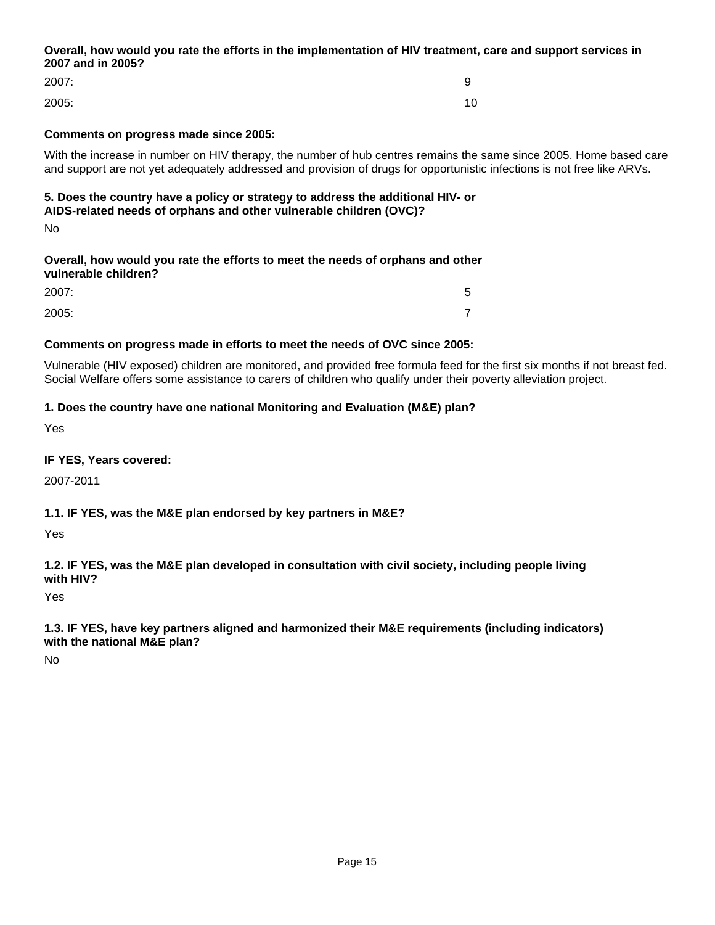### **Overall, how would you rate the efforts in the implementation of HIV treatment, care and support services in 2007 and in 2005?**

| 2007: | 9  |
|-------|----|
| 2005: | 10 |

# **Comments on progress made since 2005:**

With the increase in number on HIV therapy, the number of hub centres remains the same since 2005. Home based care and support are not yet adequately addressed and provision of drugs for opportunistic infections is not free like ARVs.

## **5. Does the country have a policy or strategy to address the additional HIV- or AIDS-related needs of orphans and other vulnerable children (OVC)?**

No

## **Overall, how would you rate the efforts to meet the needs of orphans and other vulnerable children?**

| 2007: | ∽<br>ັ |
|-------|--------|
| 2005: | -      |

### **Comments on progress made in efforts to meet the needs of OVC since 2005:**

Vulnerable (HIV exposed) children are monitored, and provided free formula feed for the first six months if not breast fed. Social Welfare offers some assistance to carers of children who qualify under their poverty alleviation project.

## **1. Does the country have one national Monitoring and Evaluation (M&E) plan?**

Yes

### **IF YES, Years covered:**

2007-2011

### **1.1. IF YES, was the M&E plan endorsed by key partners in M&E?**

Yes

**1.2. IF YES, was the M&E plan developed in consultation with civil society, including people living with HIV?**

Yes

**1.3. IF YES, have key partners aligned and harmonized their M&E requirements (including indicators) with the national M&E plan?**

No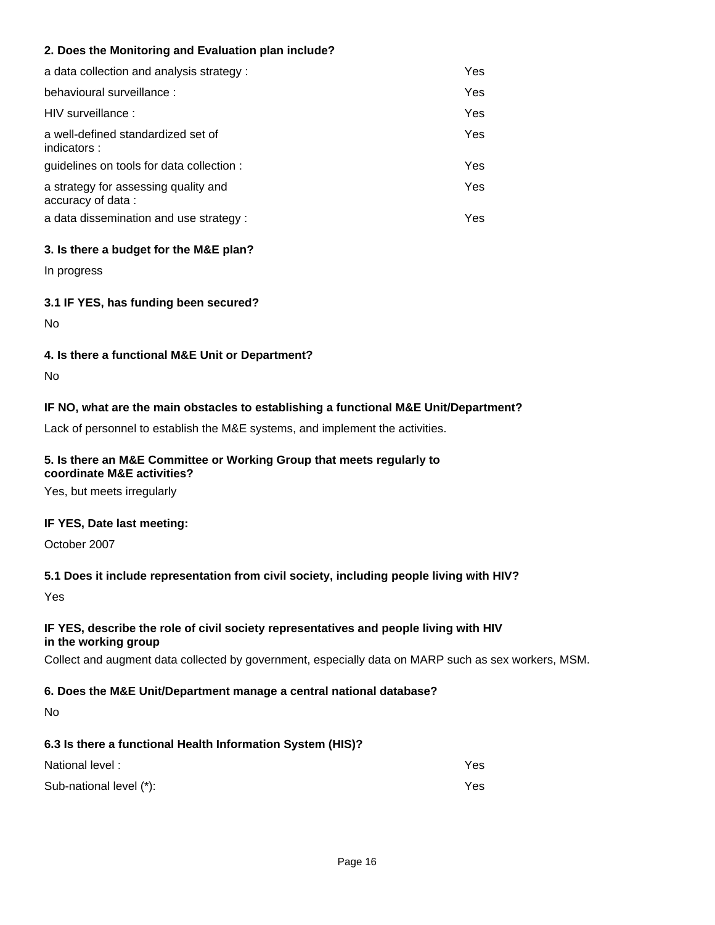## **2. Does the Monitoring and Evaluation plan include?**

| a data collection and analysis strategy :                 | Yes |
|-----------------------------------------------------------|-----|
| behavioural surveillance:                                 | Yes |
| HIV surveillance:                                         | Yes |
| a well-defined standardized set of<br>indicators:         | Yes |
| guidelines on tools for data collection :                 | Yes |
| a strategy for assessing quality and<br>accuracy of data: | Yes |
| a data dissemination and use strategy :                   | Yes |

### **3. Is there a budget for the M&E plan?**

In progress

### **3.1 IF YES, has funding been secured?**

No

## **4. Is there a functional M&E Unit or Department?**

No

# **IF NO, what are the main obstacles to establishing a functional M&E Unit/Department?**

Lack of personnel to establish the M&E systems, and implement the activities.

# **5. Is there an M&E Committee or Working Group that meets regularly to**

**coordinate M&E activities?**

Yes, but meets irregularly

### **IF YES, Date last meeting:**

October 2007

# **5.1 Does it include representation from civil society, including people living with HIV?**

Yes

## **IF YES, describe the role of civil society representatives and people living with HIV in the working group**

Collect and augment data collected by government, especially data on MARP such as sex workers, MSM.

# **6. Does the M&E Unit/Department manage a central national database?**

No

# **6.3 Is there a functional Health Information System (HIS)?**

| National level:         | Yes |
|-------------------------|-----|
| Sub-national level (*): | Yes |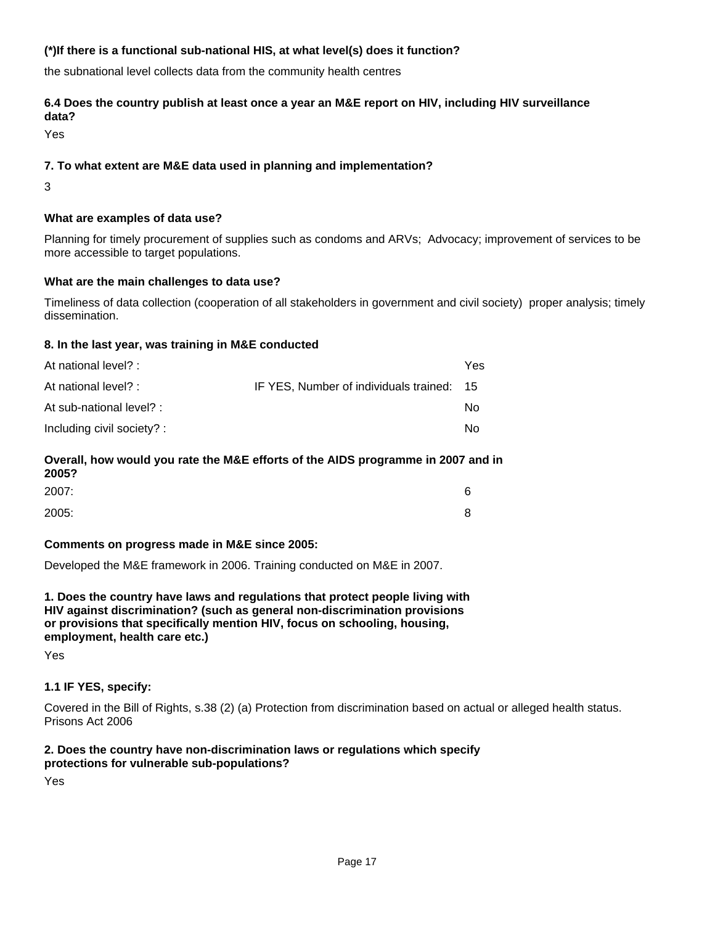## **(\*)If there is a functional sub-national HIS, at what level(s) does it function?**

the subnational level collects data from the community health centres

#### **6.4 Does the country publish at least once a year an M&E report on HIV, including HIV surveillance data?**

Yes

### **7. To what extent are M&E data used in planning and implementation?**

3

### **What are examples of data use?**

Planning for timely procurement of supplies such as condoms and ARVs; Advocacy; improvement of services to be more accessible to target populations.

### **What are the main challenges to data use?**

Timeliness of data collection (cooperation of all stakeholders in government and civil society) proper analysis; timely dissemination.

### **8. In the last year, was training in M&E conducted**

| At national level? :       |                                           | Yes |
|----------------------------|-------------------------------------------|-----|
| At national level? :       | IF YES, Number of individuals trained: 15 |     |
| At sub-national level? :   |                                           | No  |
| Including civil society? : |                                           | No  |
|                            |                                           |     |

#### **Overall, how would you rate the M&E efforts of the AIDS programme in 2007 and in 2005?**

| 2007: | 6 |
|-------|---|
| 2005: | 8 |

### **Comments on progress made in M&E since 2005:**

Developed the M&E framework in 2006. Training conducted on M&E in 2007.

**1. Does the country have laws and regulations that protect people living with HIV against discrimination? (such as general non-discrimination provisions or provisions that specifically mention HIV, focus on schooling, housing, employment, health care etc.)**

Yes

### **1.1 IF YES, specify:**

Covered in the Bill of Rights, s.38 (2) (a) Protection from discrimination based on actual or alleged health status. Prisons Act 2006

### **2. Does the country have non-discrimination laws or regulations which specify protections for vulnerable sub-populations?**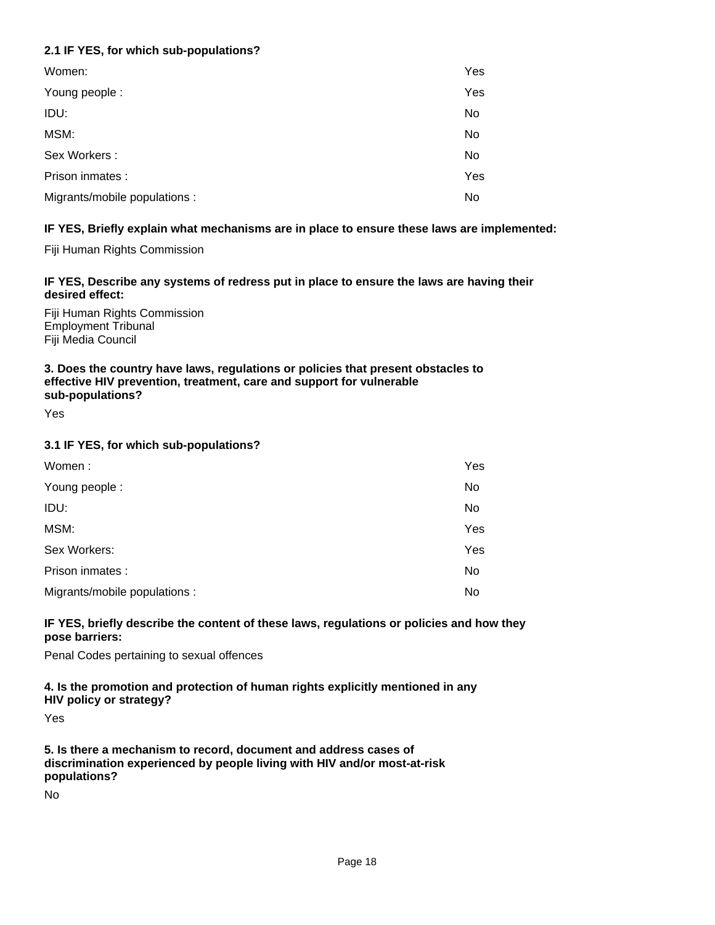# **2.1 IF YES, for which sub-populations?**

| Women:                        | Yes |
|-------------------------------|-----|
| Young people:                 | Yes |
| IDU:                          | No  |
| MSM:                          | No  |
| Sex Workers:                  | No  |
| Prison inmates :              | Yes |
| Migrants/mobile populations : | No  |

## **IF YES, Briefly explain what mechanisms are in place to ensure these laws are implemented:**

Fiji Human Rights Commission

### **IF YES, Describe any systems of redress put in place to ensure the laws are having their desired effect:**

Fiji Human Rights Commission Employment Tribunal Fiji Media Council

#### **3. Does the country have laws, regulations or policies that present obstacles to effective HIV prevention, treatment, care and support for vulnerable sub-populations?**

Yes

## **3.1 IF YES, for which sub-populations?**

| Women:                        | Yes |
|-------------------------------|-----|
| Young people:                 | No  |
| IDU:                          | No  |
| MSM:                          | Yes |
| Sex Workers:                  | Yes |
| Prison inmates :              | No  |
| Migrants/mobile populations : | No  |

### **IF YES, briefly describe the content of these laws, regulations or policies and how they pose barriers:**

Penal Codes pertaining to sexual offences

#### **4. Is the promotion and protection of human rights explicitly mentioned in any HIV policy or strategy?**

Yes

**5. Is there a mechanism to record, document and address cases of discrimination experienced by people living with HIV and/or most-at-risk populations?**

No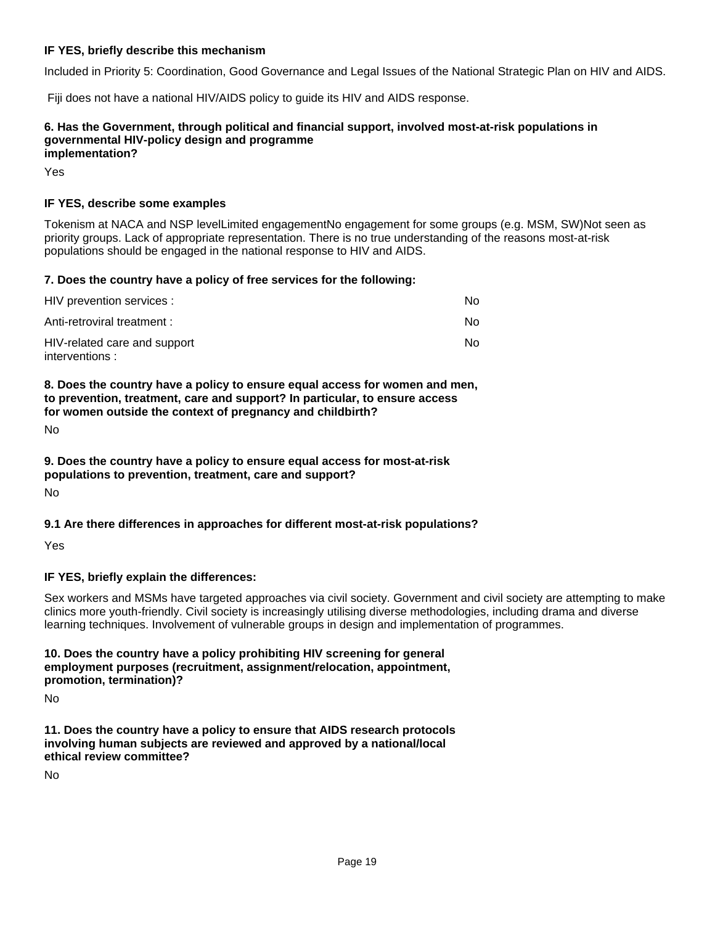### **IF YES, briefly describe this mechanism**

Included in Priority 5: Coordination, Good Governance and Legal Issues of the National Strategic Plan on HIV and AIDS.

Fiji does not have a national HIV/AIDS policy to guide its HIV and AIDS response.

#### **6. Has the Government, through political and financial support, involved most-at-risk populations in governmental HIV-policy design and programme implementation?**

Yes

#### **IF YES, describe some examples**

Tokenism at NACA and NSP levelLimited engagementNo engagement for some groups (e.g. MSM, SW)Not seen as priority groups. Lack of appropriate representation. There is no true understanding of the reasons most-at-risk populations should be engaged in the national response to HIV and AIDS.

#### **7. Does the country have a policy of free services for the following:**

| HIV prevention services :                       | No. |
|-------------------------------------------------|-----|
| Anti-retroviral treatment :                     | No. |
| HIV-related care and support<br>interventions : | No. |

**8. Does the country have a policy to ensure equal access for women and men, to prevention, treatment, care and support? In particular, to ensure access for women outside the context of pregnancy and childbirth?**

No

**9. Does the country have a policy to ensure equal access for most-at-risk populations to prevention, treatment, care and support?**

No

### **9.1 Are there differences in approaches for different most-at-risk populations?**

Yes

### **IF YES, briefly explain the differences:**

Sex workers and MSMs have targeted approaches via civil society. Government and civil society are attempting to make clinics more youth-friendly. Civil society is increasingly utilising diverse methodologies, including drama and diverse learning techniques. Involvement of vulnerable groups in design and implementation of programmes.

### **10. Does the country have a policy prohibiting HIV screening for general employment purposes (recruitment, assignment/relocation, appointment, promotion, termination)?**

No

**11. Does the country have a policy to ensure that AIDS research protocols involving human subjects are reviewed and approved by a national/local ethical review committee?**

No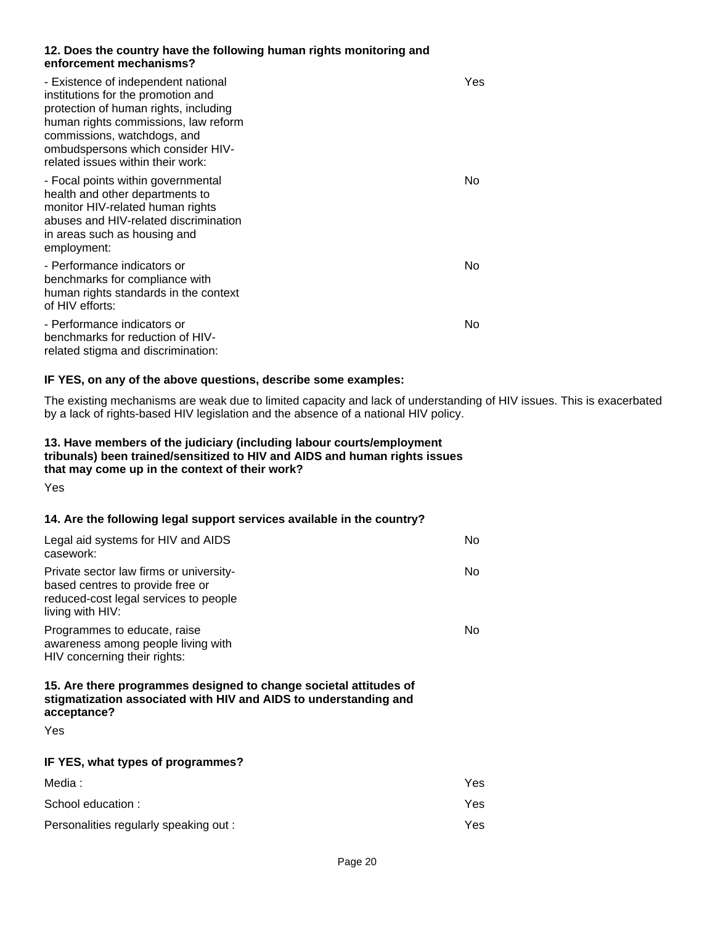#### **12. Does the country have the following human rights monitoring and enforcement mechanisms?**

| - Existence of independent national<br>institutions for the promotion and<br>protection of human rights, including<br>human rights commissions, law reform<br>commissions, watchdogs, and<br>ombudspersons which consider HIV-<br>related issues within their work: | Yes |
|---------------------------------------------------------------------------------------------------------------------------------------------------------------------------------------------------------------------------------------------------------------------|-----|
| - Focal points within governmental<br>health and other departments to<br>monitor HIV-related human rights<br>abuses and HIV-related discrimination<br>in areas such as housing and<br>employment:                                                                   | No  |
| - Performance indicators or<br>benchmarks for compliance with<br>human rights standards in the context<br>of HIV efforts:                                                                                                                                           | No  |
| - Performance indicators or<br>benchmarks for reduction of HIV-<br>related stigma and discrimination:                                                                                                                                                               | No  |

#### **IF YES, on any of the above questions, describe some examples:**

The existing mechanisms are weak due to limited capacity and lack of understanding of HIV issues. This is exacerbated by a lack of rights-based HIV legislation and the absence of a national HIV policy.

### **13. Have members of the judiciary (including labour courts/employment tribunals) been trained/sensitized to HIV and AIDS and human rights issues that may come up in the context of their work?**

Yes

### **14. Are the following legal support services available in the country?**

| Legal aid systems for HIV and AIDS<br>casework:                                                                                                      | No |
|------------------------------------------------------------------------------------------------------------------------------------------------------|----|
| Private sector law firms or university-<br>based centres to provide free or<br>reduced-cost legal services to people<br>living with HIV:             | No |
| Programmes to educate, raise<br>awareness among people living with<br>HIV concerning their rights:                                                   | N٥ |
| 15. Are there programmes designed to change societal attitudes of<br>stigmatization associated with HIV and AIDS to understanding and<br>acceptance? |    |
| Yes                                                                                                                                                  |    |
| IF YES, what types of programmes?                                                                                                                    |    |
|                                                                                                                                                      |    |

| Media:                                 | Yes |
|----------------------------------------|-----|
| School education:                      | Yes |
| Personalities regularly speaking out : | Yes |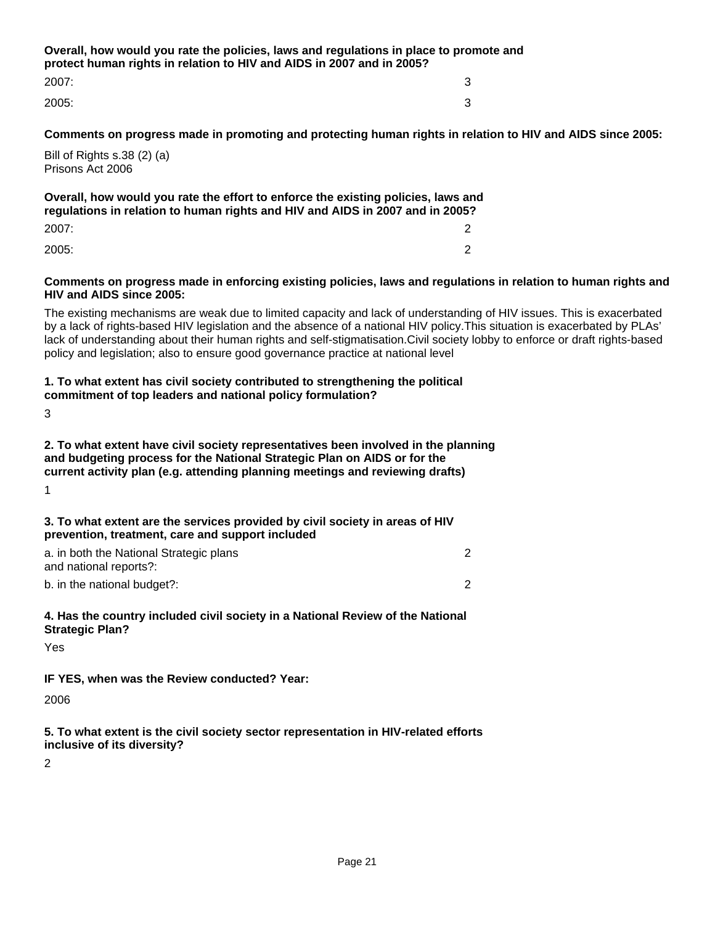**Overall, how would you rate the policies, laws and regulations in place to promote and protect human rights in relation to HIV and AIDS in 2007 and in 2005?** 2007: 3

2005: 3

**Comments on progress made in promoting and protecting human rights in relation to HIV and AIDS since 2005:**

Bill of Rights s.38 (2) (a) Prisons Act 2006

**Overall, how would you rate the effort to enforce the existing policies, laws and regulations in relation to human rights and HIV and AIDS in 2007 and in 2005?** 2007: 2

2005: 2

#### **Comments on progress made in enforcing existing policies, laws and regulations in relation to human rights and HIV and AIDS since 2005:**

The existing mechanisms are weak due to limited capacity and lack of understanding of HIV issues. This is exacerbated by a lack of rights-based HIV legislation and the absence of a national HIV policy.This situation is exacerbated by PLAs' lack of understanding about their human rights and self-stigmatisation.Civil society lobby to enforce or draft rights-based policy and legislation; also to ensure good governance practice at national level

#### **1. To what extent has civil society contributed to strengthening the political commitment of top leaders and national policy formulation?**

3

**2. To what extent have civil society representatives been involved in the planning and budgeting process for the National Strategic Plan on AIDS or for the current activity plan (e.g. attending planning meetings and reviewing drafts)**

1

#### **3. To what extent are the services provided by civil society in areas of HIV prevention, treatment, care and support included**

| a. in both the National Strategic plans |  |
|-----------------------------------------|--|
| and national reports?:                  |  |
| b. in the national budget?:             |  |

### **4. Has the country included civil society in a National Review of the National Strategic Plan?**

Yes

### **IF YES, when was the Review conducted? Year:**

2006

**5. To what extent is the civil society sector representation in HIV-related efforts inclusive of its diversity?**

2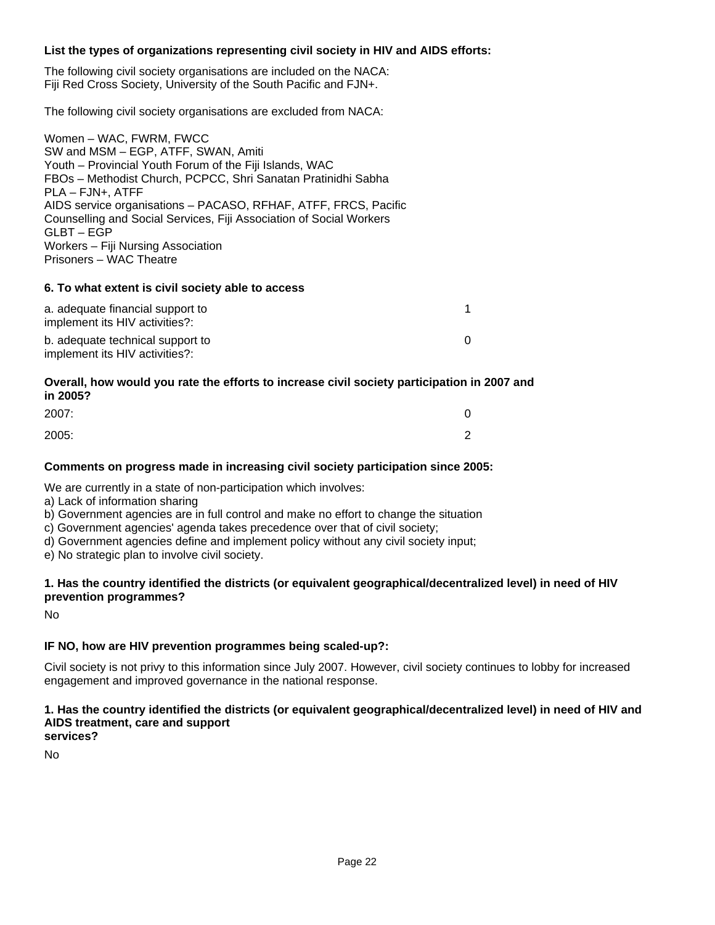#### **List the types of organizations representing civil society in HIV and AIDS efforts:**

The following civil society organisations are included on the NACA: Fiji Red Cross Society, University of the South Pacific and FJN+.

The following civil society organisations are excluded from NACA:

Women – WAC, FWRM, FWCC SW and MSM – EGP, ATFF, SWAN, Amiti Youth – Provincial Youth Forum of the Fiji Islands, WAC FBOs – Methodist Church, PCPCC, Shri Sanatan Pratinidhi Sabha PLA – FJN+, ATFF AIDS service organisations – PACASO, RFHAF, ATFF, FRCS, Pacific Counselling and Social Services, Fiji Association of Social Workers GLBT – EGP Workers – Fiji Nursing Association Prisoners – WAC Theatre

#### **6. To what extent is civil society able to access**

| a. adequate financial support to<br>implement its HIV activities?: |  |
|--------------------------------------------------------------------|--|
| b. adequate technical support to<br>implement its HIV activities?: |  |

#### **Overall, how would you rate the efforts to increase civil society participation in 2007 and in 2005?**

| 2007: |   |
|-------|---|
| 2005: | ⌒ |

#### **Comments on progress made in increasing civil society participation since 2005:**

We are currently in a state of non-participation which involves:

- a) Lack of information sharing
- b) Government agencies are in full control and make no effort to change the situation
- c) Government agencies' agenda takes precedence over that of civil society;
- d) Government agencies define and implement policy without any civil society input;
- e) No strategic plan to involve civil society.

### **1. Has the country identified the districts (or equivalent geographical/decentralized level) in need of HIV prevention programmes?**

No

# **IF NO, how are HIV prevention programmes being scaled-up?:**

Civil society is not privy to this information since July 2007. However, civil society continues to lobby for increased engagement and improved governance in the national response.

#### **1. Has the country identified the districts (or equivalent geographical/decentralized level) in need of HIV and AIDS treatment, care and support services?**

No